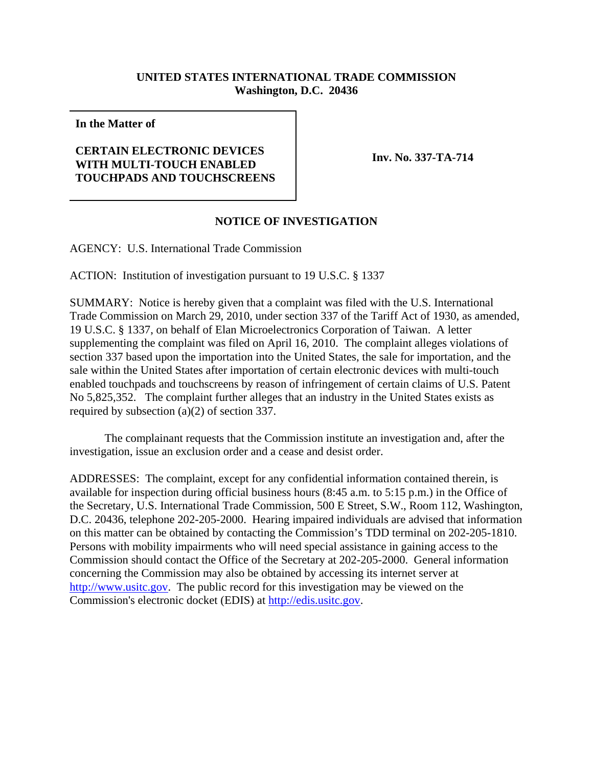## **UNITED STATES INTERNATIONAL TRADE COMMISSION Washington, D.C. 20436**

**In the Matter of**

## **CERTAIN ELECTRONIC DEVICES WITH MULTI-TOUCH ENABLED TOUCHPADS AND TOUCHSCREENS**

**Inv. No. 337-TA-714**

## **NOTICE OF INVESTIGATION**

AGENCY: U.S. International Trade Commission

ACTION: Institution of investigation pursuant to 19 U.S.C. § 1337

SUMMARY: Notice is hereby given that a complaint was filed with the U.S. International Trade Commission on March 29, 2010, under section 337 of the Tariff Act of 1930, as amended, 19 U.S.C. § 1337, on behalf of Elan Microelectronics Corporation of Taiwan. A letter supplementing the complaint was filed on April 16, 2010. The complaint alleges violations of section 337 based upon the importation into the United States, the sale for importation, and the sale within the United States after importation of certain electronic devices with multi-touch enabled touchpads and touchscreens by reason of infringement of certain claims of U.S. Patent No 5,825,352. The complaint further alleges that an industry in the United States exists as required by subsection (a)(2) of section 337.

The complainant requests that the Commission institute an investigation and, after the investigation, issue an exclusion order and a cease and desist order.

ADDRESSES: The complaint, except for any confidential information contained therein, is available for inspection during official business hours (8:45 a.m. to 5:15 p.m.) in the Office of the Secretary, U.S. International Trade Commission, 500 E Street, S.W., Room 112, Washington, D.C. 20436, telephone 202-205-2000. Hearing impaired individuals are advised that information on this matter can be obtained by contacting the Commission's TDD terminal on 202-205-1810. Persons with mobility impairments who will need special assistance in gaining access to the Commission should contact the Office of the Secretary at 202-205-2000. General information concerning the Commission may also be obtained by accessing its internet server at http://www.usitc.gov. The public record for this investigation may be viewed on the Commission's electronic docket (EDIS) at http://edis.usitc.gov.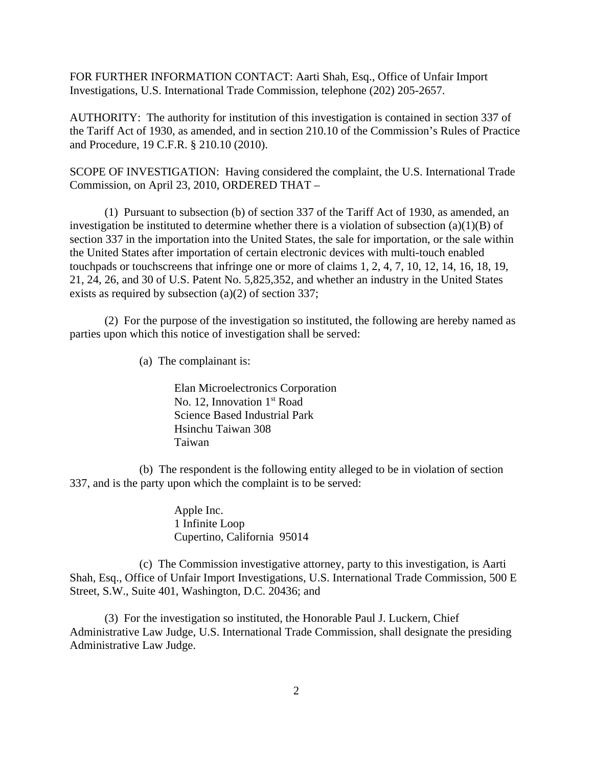FOR FURTHER INFORMATION CONTACT: Aarti Shah, Esq., Office of Unfair Import Investigations, U.S. International Trade Commission, telephone (202) 205-2657.

AUTHORITY: The authority for institution of this investigation is contained in section 337 of the Tariff Act of 1930, as amended, and in section 210.10 of the Commission's Rules of Practice and Procedure, 19 C.F.R. § 210.10 (2010).

SCOPE OF INVESTIGATION: Having considered the complaint, the U.S. International Trade Commission, on April 23, 2010, ORDERED THAT –

(1) Pursuant to subsection (b) of section 337 of the Tariff Act of 1930, as amended, an investigation be instituted to determine whether there is a violation of subsection  $(a)(1)(B)$  of section 337 in the importation into the United States, the sale for importation, or the sale within the United States after importation of certain electronic devices with multi-touch enabled touchpads or touchscreens that infringe one or more of claims 1, 2, 4, 7, 10, 12, 14, 16, 18, 19, 21, 24, 26, and 30 of U.S. Patent No. 5,825,352, and whether an industry in the United States exists as required by subsection (a)(2) of section 337;

(2) For the purpose of the investigation so instituted, the following are hereby named as parties upon which this notice of investigation shall be served:

(a) The complainant is:

Elan Microelectronics Corporation No. 12, Innovation 1<sup>st</sup> Road Science Based Industrial Park Hsinchu Taiwan 308 Taiwan

(b) The respondent is the following entity alleged to be in violation of section 337, and is the party upon which the complaint is to be served:

> Apple Inc. 1 Infinite Loop Cupertino, California 95014

(c) The Commission investigative attorney, party to this investigation, is Aarti Shah, Esq., Office of Unfair Import Investigations, U.S. International Trade Commission, 500 E Street, S.W., Suite 401, Washington, D.C. 20436; and

(3) For the investigation so instituted, the Honorable Paul J. Luckern, Chief Administrative Law Judge, U.S. International Trade Commission, shall designate the presiding Administrative Law Judge.